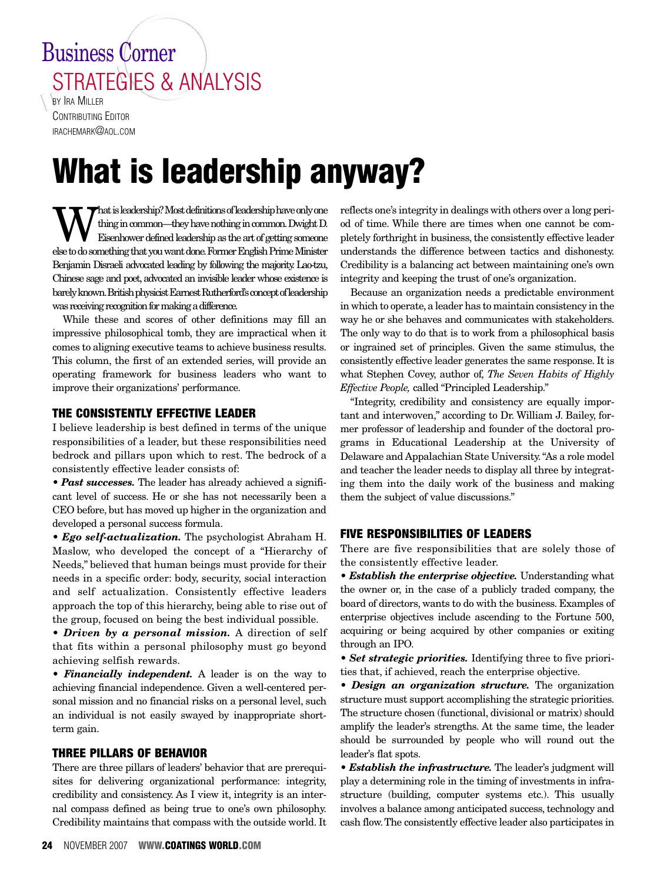# Business Corner STRATEGIES & ANALYSIS

BY **IRA MILLER** CONTRIBUTING EDITOR IRACHEMARK@AOL.COM

# **What is leadership anyway?**

What is leadership? Most definitions of leadership have only one<br>
Eisenhower defined leadership as the art of getting someone<br>
olated a comothing that you used done Forman Fockish Prime Minister thing in common—they have nothing in common. Dwight D. else to do something that you want done. Former English Prime Minister Benjamin Disraeli advocated leading by following the majority.Lao-tzu, Chinese sage and poet, advocated an invisible leader whose existence is barely known. British physicist Earnest Rutherford's concept of leadership was receiving recognition for making a difference.

While these and scores of other definitions may fill an impressive philosophical tomb, they are impractical when it comes to aligning executive teams to achieve business results. This column, the first of an extended series, will provide an operating framework for business leaders who want to improve their organizations' performance.

# **THE CONSISTENTLY EFFECTIVE LEADER**

I believe leadership is best defined in terms of the unique responsibilities of a leader, but these responsibilities need bedrock and pillars upon which to rest. The bedrock of a consistently effective leader consists of:

• *Past successes.* The leader has already achieved a significant level of success. He or she has not necessarily been a CEO before, but has moved up higher in the organization and developed a personal success formula.

*• Ego self-actualization.* The psychologist Abraham H. Maslow, who developed the concept of a "Hierarchy of Needs," believed that human beings must provide for their needs in a specific order: body, security, social interaction and self actualization. Consistently effective leaders approach the top of this hierarchy, being able to rise out of the group, focused on being the best individual possible.

*• Driven by a personal mission.* A direction of self that fits within a personal philosophy must go beyond achieving selfish rewards.

*• Financially independent.* A leader is on the way to achieving financial independence. Given a well-centered personal mission and no financial risks on a personal level, such an individual is not easily swayed by inappropriate shortterm gain.

## **THREE PILLARS OF BEHAVIOR**

There are three pillars of leaders' behavior that are prerequisites for delivering organizational performance: integrity, credibility and consistency. As I view it, integrity is an internal compass defined as being true to one's own philosophy. Credibility maintains that compass with the outside world. It reflects one's integrity in dealings with others over a long period of time. While there are times when one cannot be completely forthright in business, the consistently effective leader understands the difference between tactics and dishonesty. Credibility is a balancing act between maintaining one's own integrity and keeping the trust of one's organization.

Because an organization needs a predictable environment in which to operate, a leader has to maintain consistency in the way he or she behaves and communicates with stakeholders. The only way to do that is to work from a philosophical basis or ingrained set of principles. Given the same stimulus, the consistently effective leader generates the same response. It is what Stephen Covey, author of, *The Seven Habits of Highly Effective People,* called "Principled Leadership."

"Integrity, credibility and consistency are equally important and interwoven," according to Dr. William J. Bailey, former professor of leadership and founder of the doctoral programs in Educational Leadership at the University of Delaware and Appalachian State University."As a role model and teacher the leader needs to display all three by integrating them into the daily work of the business and making them the subject of value discussions."

# **FIVE RESPONSIBILITIES OF LEADERS**

There are five responsibilities that are solely those of the consistently effective leader.

*• Establish the enterprise objective.* Understanding what the owner or, in the case of a publicly traded company, the board of directors, wants to do with the business. Examples of enterprise objectives include ascending to the Fortune 500, acquiring or being acquired by other companies or exiting through an IPO.

*• Set strategic priorities.* Identifying three to five priorities that, if achieved, reach the enterprise objective.

*• Design an organization structure.* The organization structure must support accomplishing the strategic priorities. The structure chosen (functional, divisional or matrix) should amplify the leader's strengths. At the same time, the leader should be surrounded by people who will round out the leader's flat spots.

*• Establish the infrastructure.* The leader's judgment will play a determining role in the timing of investments in infrastructure (building, computer systems etc.). This usually involves a balance among anticipated success, technology and cash flow.The consistently effective leader also participates in